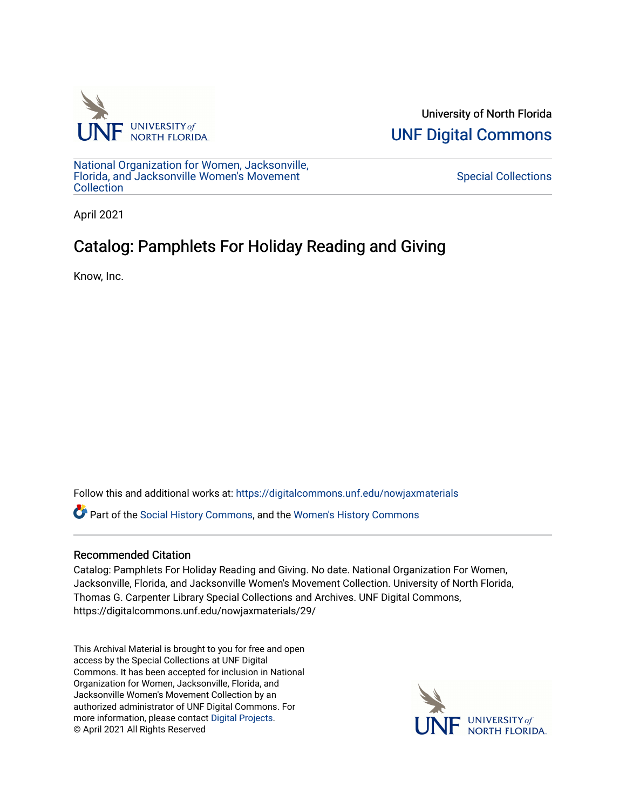

University of North Florida [UNF Digital Commons](https://digitalcommons.unf.edu/) 

[National Organization for Women, Jacksonville,](https://digitalcommons.unf.edu/nowjaxmaterials) [Florida, and Jacksonville Women's Movement](https://digitalcommons.unf.edu/nowjaxmaterials) [Collection](https://digitalcommons.unf.edu/nowjaxmaterials) 

[Special Collections](https://digitalcommons.unf.edu/special_collections) 

April 2021

## Catalog: Pamphlets For Holiday Reading and Giving

Know, Inc.

Follow this and additional works at: [https://digitalcommons.unf.edu/nowjaxmaterials](https://digitalcommons.unf.edu/nowjaxmaterials?utm_source=digitalcommons.unf.edu%2Fnowjaxmaterials%2F29&utm_medium=PDF&utm_campaign=PDFCoverPages) 

Part of the [Social History Commons](http://network.bepress.com/hgg/discipline/506?utm_source=digitalcommons.unf.edu%2Fnowjaxmaterials%2F29&utm_medium=PDF&utm_campaign=PDFCoverPages), and the [Women's History Commons](http://network.bepress.com/hgg/discipline/507?utm_source=digitalcommons.unf.edu%2Fnowjaxmaterials%2F29&utm_medium=PDF&utm_campaign=PDFCoverPages)

## Recommended Citation

Catalog: Pamphlets For Holiday Reading and Giving. No date. National Organization For Women, Jacksonville, Florida, and Jacksonville Women's Movement Collection. University of North Florida, Thomas G. Carpenter Library Special Collections and Archives. UNF Digital Commons, https://digitalcommons.unf.edu/nowjaxmaterials/29/

This Archival Material is brought to you for free and open access by the Special Collections at UNF Digital Commons. It has been accepted for inclusion in National Organization for Women, Jacksonville, Florida, and Jacksonville Women's Movement Collection by an authorized administrator of UNF Digital Commons. For more information, please contact [Digital Projects](mailto:lib-digital@unf.edu). © April 2021 All Rights Reserved

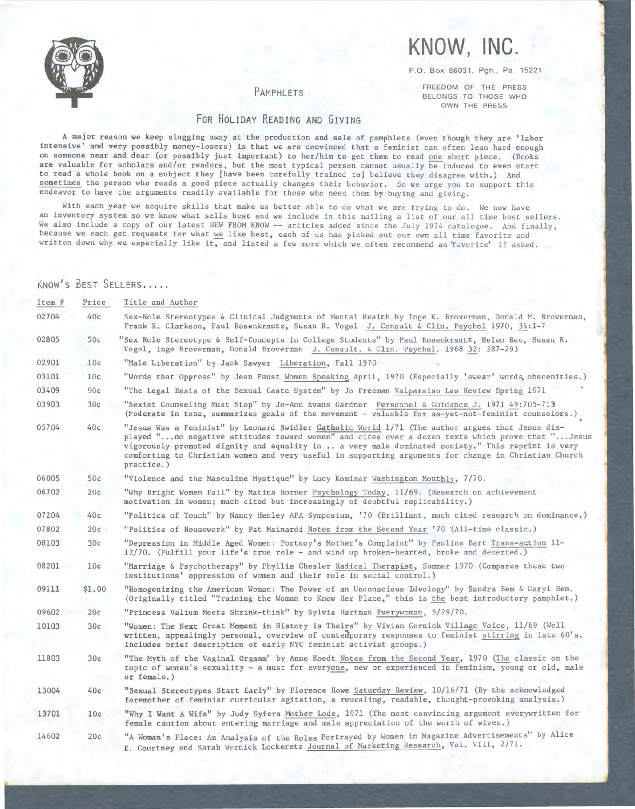

# **KNOW, INC.**

P.O. Box 86031, Pgh., Pa. 15221

### PAMPHLETS

FREEDOM OF THE PRESS BELONGS TO THOSE WHO OWN THE PRESS

## FOR HOLIDAY READING AND GIVING

**<sup>A</sup>**major reason we keep slugging away at the production and sale of pamphlets (even though they are 'labor intensive' and very possibly money-losers) is that we are convinced that a feminist can often lean hard enough on someone near and dear (or possibly just important) to her/him to get them to read one short piece. (Books **are** valuable for scholars and/or readers, but the most typical person cannot usually be induced to even start to read a whole book on a subject they [have been carefully trained to] believe they disagree with.) And sometimes the person who reads a good piece actually changes their behavior. So we urge you to support this endeavor to have the arguments readily available for those who need them by buying and giving.

With each year we acquire skills that make us better able to do what we are trying to do. We now have an inventory system so we know what sells best and we include in this mailing a list of our all time best sellers. We also include a copy of our latest NEW FROM KNOW -- articles added since the July 1974 catalogue. And finally, because we each get requests for what we like best, each of us has picked out our own all time favorite and written down why we especially like it, and listed a few more which we often recommend as 'favorite' if asked.

## KNOW'S BEST SELLERS,,,,,

| $Item$ # | Price  | Title and Author                                                                                                                                                                                                                                                                                                                                                                                                                |
|----------|--------|---------------------------------------------------------------------------------------------------------------------------------------------------------------------------------------------------------------------------------------------------------------------------------------------------------------------------------------------------------------------------------------------------------------------------------|
| 02704    | 40c    | Sex-Role Stereotypes & Clinical Judgments of Mental Health by Inge K. Broverman, Donald M. Broverman,<br>Frank R. Clarkson, Paul Rosenkrantz, Susan R. Vogel J. Consult & Clin. Psychol 1970, 34:1-7                                                                                                                                                                                                                            |
| 02805    | 50c    | "Sex Role Stereotype & Self-Concepts in College Students" by Paul Rosenkrant <sup>z</sup> , Helen Bee, Susan R.<br>Vogel, Inge Broverman, Donald Broverman J. Consult. & Clin. Psychol. 1968 32: 287-293                                                                                                                                                                                                                        |
| 02901    | 10c    | "Male Liberation" by Jack Sawyer Liberation, Fall 1970                                                                                                                                                                                                                                                                                                                                                                          |
| 03101    | 10c    | "Words that Oppress" by Jean Faust Women Speaking April, 1970 (Especially 'swear' words, obscenities.)                                                                                                                                                                                                                                                                                                                          |
| 03409    | 90c    | "The Legal Basis of the Sexual Caste System" by Jo Freeman Valparaiso Law Review Spring 1971                                                                                                                                                                                                                                                                                                                                    |
| 03903    | 30c    | "Sexist Counseling Must Stop" by Jo-Ann Evans Gardner Personnel & Guidance J. 1971 49:705-713<br>(Moderate in tone, summarizes goals of the movement - valuable for as-yet-not-feminist counselors.)                                                                                                                                                                                                                            |
| 05704    | 40c    | "Jesus Was a Feminist" by Leonard Swidler Catholic World 1/71 (The author argues that Jesus dis-<br>played "no negative attitudes toward women" and cites over a dozen texts which prove that "Jesus<br>vigorously promoted dignity and equality in  a very male dominated society." This reprint is very<br>comforting to Christian women and very useful in supporting arguments for change in Christian Church<br>practice.) |
| 06005    | 50c    | "Violence and the Masculine Mystique" by Lucy Komisar Washington Monthly, 7/70.                                                                                                                                                                                                                                                                                                                                                 |
| 06702    | 20c    | "Why Bright Women Fail" by Matina Horner Psychology Today, 11/69. (Research on achievement<br>motivation in women; much cited but increasingly of doubtful replicability.)                                                                                                                                                                                                                                                      |
| 07204    | 40c    | "Politics of Touch" by Nancy Henley APA Symposium, '70 (Brilliant, much cited research on dominance.)                                                                                                                                                                                                                                                                                                                           |
| 07802    | 20c    | "Politics of Housework" by Pat Mainardi Notes from the Second Year '70 (All-time classic.)                                                                                                                                                                                                                                                                                                                                      |
| 08103    | 30c    | "Depression in Middle Aged Women: Portnoy's Mother's Complaint" by Pauline Bart Trans-action 11-<br>12/70. (Fulfill your life's true role - and wind up broken-hearted, broke and deserted.)                                                                                                                                                                                                                                    |
| 08201    | 10c    | "Marriage & Psychotherapy" by Phyllis Chesler Radical Therapist, Summer 1970 (Compares these two<br>institutions' oppression of women and their role in social control.)                                                                                                                                                                                                                                                        |
| 09111    | \$1.00 | "Homogenizing the American Woman: The Power of an Unconscious Ideology" by Sandra Bem & Daryl Bem.<br>(Originally titled "Training the Woman to Know Her Place," this is the best introductory pamphlet.)                                                                                                                                                                                                                       |
| 09602    | 20c    | "Princess Valium Meets Shrink-think" by Sylvia Hartman Everywoman, 5/29/70.                                                                                                                                                                                                                                                                                                                                                     |
| 10103    | 30c    | "Women: The Next Great Moment in History is Theirs" by Vivian Gornick Village Voice, 11/69 (Well<br>written, appealingly personal, overview of contemporary responses to feminist stirring in late 60's.<br>Includes brief description of early NYC feminist activist groups.)                                                                                                                                                  |
| 11803    | 30c    | "The Myth of the Vaginal Orgasm" by Anne Koedt Notes from the Second Year, 1970 (The classic on the<br>topic of women's sexuality - a must for everyone, new or experienced in feminism, young or old, male<br>or female.)                                                                                                                                                                                                      |
| 13004    | 40c    | "Sexual Stereotypes Start Early" by Florence Howe Saturday Review, 10/16/71 (By the acknowledged<br>foremother of feminist curricular agitation, a revealing, readable, thought-provoking analysis.)                                                                                                                                                                                                                            |
| 13701    | 10c    | "Why I Want A Wife" by Judy Syfers Mother Lode, 1971 (The most convincing argument everywritten for<br>female caution about entering marriage and male appreciation of the worth of wives.)                                                                                                                                                                                                                                     |
| 14602    | 20c    | "A Woman's Place: An Analysis of the Roles Portrayed by Women in Magazine Advertisements" by Alice<br>E. Courtney and Sarah Wernick Lockeretz Journal of Marketing Research, Vol. VIII, 2/71.                                                                                                                                                                                                                                   |